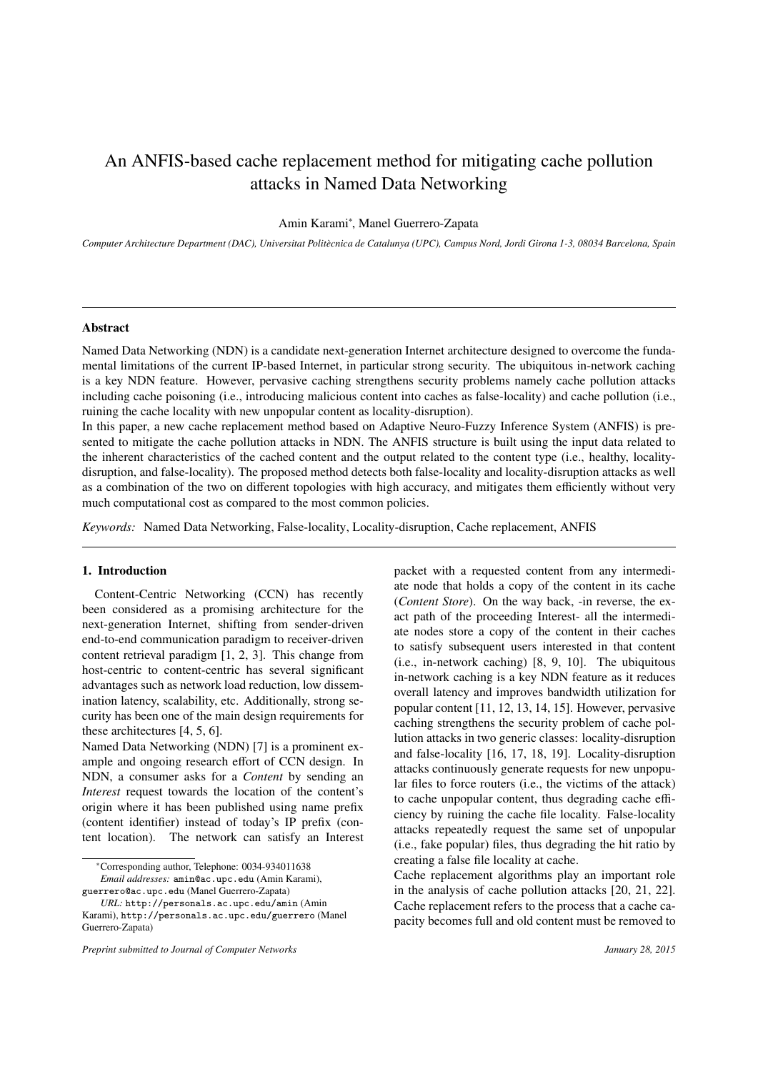# An ANFIS-based cache replacement method for mitigating cache pollution attacks in Named Data Networking

Amin Karami<sup>∗</sup> , Manel Guerrero-Zapata

*Computer Architecture Department (DAC), Universitat Polit`ecnica de Catalunya (UPC), Campus Nord, Jordi Girona 1-3, 08034 Barcelona, Spain*

## Abstract

Named Data Networking (NDN) is a candidate next-generation Internet architecture designed to overcome the fundamental limitations of the current IP-based Internet, in particular strong security. The ubiquitous in-network caching is a key NDN feature. However, pervasive caching strengthens security problems namely cache pollution attacks including cache poisoning (i.e., introducing malicious content into caches as false-locality) and cache pollution (i.e., ruining the cache locality with new unpopular content as locality-disruption).

In this paper, a new cache replacement method based on Adaptive Neuro-Fuzzy Inference System (ANFIS) is presented to mitigate the cache pollution attacks in NDN. The ANFIS structure is built using the input data related to the inherent characteristics of the cached content and the output related to the content type (i.e., healthy, localitydisruption, and false-locality). The proposed method detects both false-locality and locality-disruption attacks as well as a combination of the two on different topologies with high accuracy, and mitigates them efficiently without very much computational cost as compared to the most common policies.

*Keywords:* Named Data Networking, False-locality, Locality-disruption, Cache replacement, ANFIS

#### 1. Introduction

Content-Centric Networking (CCN) has recently been considered as a promising architecture for the next-generation Internet, shifting from sender-driven end-to-end communication paradigm to receiver-driven content retrieval paradigm [1, 2, 3]. This change from host-centric to content-centric has several significant advantages such as network load reduction, low dissemination latency, scalability, etc. Additionally, strong security has been one of the main design requirements for these architectures [4, 5, 6].

Named Data Networking (NDN) [7] is a prominent example and ongoing research effort of CCN design. In NDN, a consumer asks for a *Content* by sending an *Interest* request towards the location of the content's origin where it has been published using name prefix (content identifier) instead of today's IP prefix (content location). The network can satisfy an Interest

packet with a requested content from any intermediate node that holds a copy of the content in its cache (*Content Store*). On the way back, -in reverse, the exact path of the proceeding Interest- all the intermediate nodes store a copy of the content in their caches to satisfy subsequent users interested in that content (i.e., in-network caching) [8, 9, 10]. The ubiquitous in-network caching is a key NDN feature as it reduces overall latency and improves bandwidth utilization for popular content [11, 12, 13, 14, 15]. However, pervasive caching strengthens the security problem of cache pollution attacks in two generic classes: locality-disruption and false-locality [16, 17, 18, 19]. Locality-disruption attacks continuously generate requests for new unpopular files to force routers (i.e., the victims of the attack) to cache unpopular content, thus degrading cache efficiency by ruining the cache file locality. False-locality attacks repeatedly request the same set of unpopular (i.e., fake popular) files, thus degrading the hit ratio by creating a false file locality at cache.

Cache replacement algorithms play an important role in the analysis of cache pollution attacks [20, 21, 22]. Cache replacement refers to the process that a cache capacity becomes full and old content must be removed to

<sup>∗</sup>Corresponding author, Telephone: 0034-934011638 *Email addresses:* amin@ac.upc.edu (Amin Karami),

guerrero@ac.upc.edu (Manel Guerrero-Zapata)

*URL:* http://personals.ac.upc.edu/amin (Amin Karami), http://personals.ac.upc.edu/guerrero (Manel Guerrero-Zapata)

*Preprint submitted to Journal of Computer Networks January 28, 2015*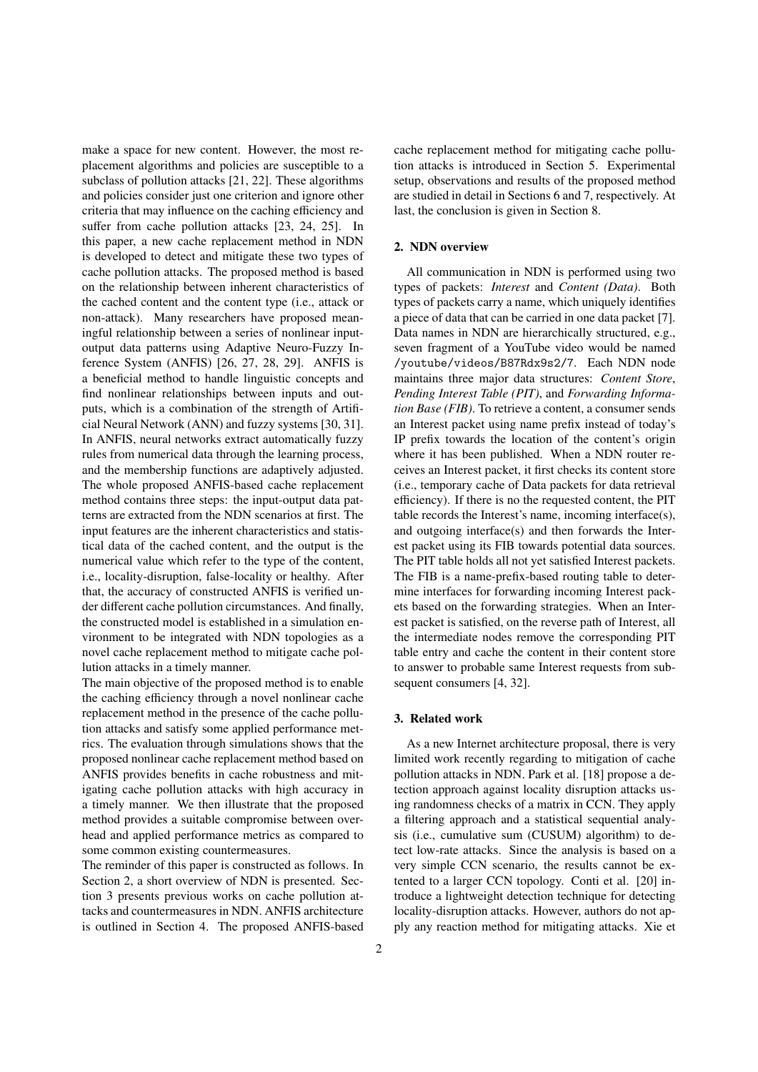make a space for new content. However, the most replacement algorithms and policies are susceptible to a subclass of pollution attacks [21, 22]. These algorithms and policies consider just one criterion and ignore other criteria that may influence on the caching efficiency and suffer from cache pollution attacks [23, 24, 25]. In this paper, a new cache replacement method in NDN is developed to detect and mitigate these two types of cache pollution attacks. The proposed method is based on the relationship between inherent characteristics of the cached content and the content type (i.e., attack or non-attack). Many researchers have proposed meaningful relationship between a series of nonlinear inputoutput data patterns using Adaptive Neuro-Fuzzy Inference System (ANFIS) [26, 27, 28, 29]. ANFIS is a beneficial method to handle linguistic concepts and find nonlinear relationships between inputs and outputs, which is a combination of the strength of Artificial Neural Network (ANN) and fuzzy systems [30, 31]. In ANFIS, neural networks extract automatically fuzzy rules from numerical data through the learning process, and the membership functions are adaptively adjusted. The whole proposed ANFIS-based cache replacement method contains three steps: the input-output data patterns are extracted from the NDN scenarios at first. The input features are the inherent characteristics and statistical data of the cached content, and the output is the numerical value which refer to the type of the content, i.e., locality-disruption, false-locality or healthy. After that, the accuracy of constructed ANFIS is verified under different cache pollution circumstances. And finally, the constructed model is established in a simulation environment to be integrated with NDN topologies as a novel cache replacement method to mitigate cache pollution attacks in a timely manner.

The main objective of the proposed method is to enable the caching efficiency through a novel nonlinear cache replacement method in the presence of the cache pollution attacks and satisfy some applied performance metrics. The evaluation through simulations shows that the proposed nonlinear cache replacement method based on ANFIS provides benefits in cache robustness and mitigating cache pollution attacks with high accuracy in a timely manner. We then illustrate that the proposed method provides a suitable compromise between overhead and applied performance metrics as compared to some common existing countermeasures.

The reminder of this paper is constructed as follows. In Section 2, a short overview of NDN is presented. Section 3 presents previous works on cache pollution attacks and countermeasures in NDN. ANFIS architecture is outlined in Section 4. The proposed ANFIS-based cache replacement method for mitigating cache pollution attacks is introduced in Section 5. Experimental setup, observations and results of the proposed method are studied in detail in Sections 6 and 7, respectively. At last, the conclusion is given in Section 8.

# 2. NDN overview

All communication in NDN is performed using two types of packets: *Interest* and *Content (Data)*. Both types of packets carry a name, which uniquely identifies a piece of data that can be carried in one data packet [7]. Data names in NDN are hierarchically structured, e.g., seven fragment of a YouTube video would be named /youtube/videos/B87Rdx9s2/7. Each NDN node maintains three major data structures: *Content Store*, *Pending Interest Table (PIT)*, and *Forwarding Information Base (FIB)*. To retrieve a content, a consumer sends an Interest packet using name prefix instead of today's IP prefix towards the location of the content's origin where it has been published. When a NDN router receives an Interest packet, it first checks its content store (i.e., temporary cache of Data packets for data retrieval efficiency). If there is no the requested content, the PIT table records the Interest's name, incoming interface(s), and outgoing interface(s) and then forwards the Interest packet using its FIB towards potential data sources. The PIT table holds all not yet satisfied Interest packets. The FIB is a name-prefix-based routing table to determine interfaces for forwarding incoming Interest packets based on the forwarding strategies. When an Interest packet is satisfied, on the reverse path of Interest, all the intermediate nodes remove the corresponding PIT table entry and cache the content in their content store to answer to probable same Interest requests from subsequent consumers [4, 32].

## 3. Related work

As a new Internet architecture proposal, there is very limited work recently regarding to mitigation of cache pollution attacks in NDN. Park et al. [18] propose a detection approach against locality disruption attacks using randomness checks of a matrix in CCN. They apply a filtering approach and a statistical sequential analysis (i.e., cumulative sum (CUSUM) algorithm) to detect low-rate attacks. Since the analysis is based on a very simple CCN scenario, the results cannot be extented to a larger CCN topology. Conti et al. [20] introduce a lightweight detection technique for detecting locality-disruption attacks. However, authors do not apply any reaction method for mitigating attacks. Xie et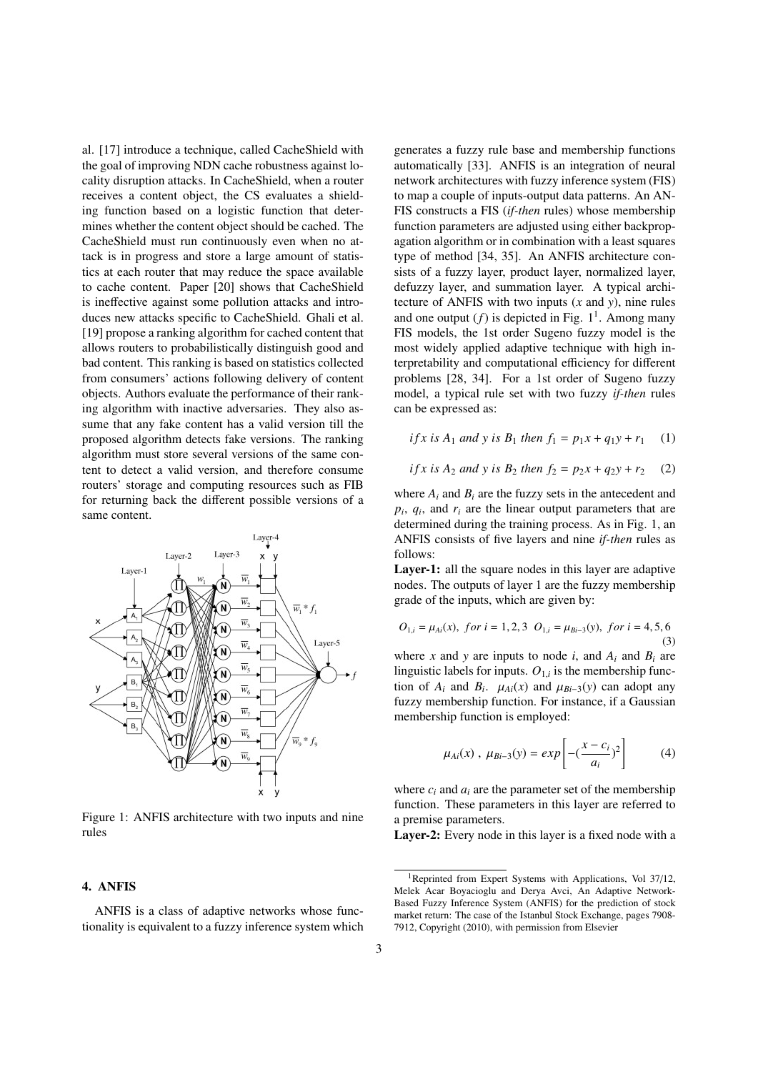al. [17] introduce a technique, called CacheShield with the goal of improving NDN cache robustness against locality disruption attacks. In CacheShield, when a router receives a content object, the CS evaluates a shielding function based on a logistic function that determines whether the content object should be cached. The CacheShield must run continuously even when no attack is in progress and store a large amount of statistics at each router that may reduce the space available to cache content. Paper [20] shows that CacheShield is ineffective against some pollution attacks and introduces new attacks specific to CacheShield. Ghali et al. [19] propose a ranking algorithm for cached content that allows routers to probabilistically distinguish good and bad content. This ranking is based on statistics collected from consumers' actions following delivery of content objects. Authors evaluate the performance of their ranking algorithm with inactive adversaries. They also assume that any fake content has a valid version till the proposed algorithm detects fake versions. The ranking algorithm must store several versions of the same content to detect a valid version, and therefore consume routers' storage and computing resources such as FIB for returning back the different possible versions of a same content.



Figure 1: ANFIS architecture with two inputs and nine rules

# 4. ANFIS

ANFIS is a class of adaptive networks whose functionality is equivalent to a fuzzy inference system which generates a fuzzy rule base and membership functions automatically [33]. ANFIS is an integration of neural network architectures with fuzzy inference system (FIS) to map a couple of inputs-output data patterns. An AN-FIS constructs a FIS (*if-then* rules) whose membership function parameters are adjusted using either backpropagation algorithm or in combination with a least squares type of method [34, 35]. An ANFIS architecture consists of a fuzzy layer, product layer, normalized layer, defuzzy layer, and summation layer. A typical architecture of ANFIS with two inputs (*x* and *y*), nine rules and one output  $(f)$  is depicted in Fig.  $1^1$ . Among many FIS models, the 1st order Sugeno fuzzy model is the most widely applied adaptive technique with high interpretability and computational efficiency for different problems [28, 34]. For a 1st order of Sugeno fuzzy model, a typical rule set with two fuzzy *if-then* rules can be expressed as:

*i f x is A*<sup>1</sup> *and y is B*<sup>1</sup> *then f*<sup>1</sup> = *p*<sup>1</sup> *x* + *q*1*y* + *r*<sup>1</sup> (1)

*i f x is A*<sup>2</sup> *and y is B*<sup>2</sup> *then f*<sup>2</sup> = *p*<sup>2</sup> *x* + *q*2*y* + *r*<sup>2</sup> (2)

where  $A_i$  and  $B_i$  are the fuzzy sets in the antecedent and  $p_i$ ,  $q_i$ , and  $r_i$  are the linear output parameters that are determined during the training process. As in Fig. 1, an ANFIS consists of five layers and nine *if-then* rules as follows:

Layer-1: all the square nodes in this layer are adaptive nodes. The outputs of layer 1 are the fuzzy membership grade of the inputs, which are given by:

$$
O_{1,i} = \mu_{Ai}(x), \text{ for } i = 1, 2, 3 \ O_{1,i} = \mu_{Bi-3}(y), \text{ for } i = 4, 5, 6
$$
\n(3)

where *x* and *y* are inputs to node *i*, and  $A_i$  and  $B_i$  are linguistic labels for inputs.  $O_{1,i}$  is the membership func-<br>tion of A, and  $P_{1,i}$  (a) and  $U_{2,i}$  (a) and other are tion of  $A_i$  and  $B_i$ .  $\mu_{Ai}(x)$  and  $\mu_{Bi-3}(y)$  can adopt any fuzzy membership function. For instance, if a Gaussian fuzzy membership function. For instance, if a Gaussian membership function is employed:

$$
\mu_{Ai}(x), \ \mu_{Bi-3}(y) = exp\left[-(\frac{x-c_i}{a_i})^2\right]
$$
 (4)

where  $c_i$  and  $a_i$  are the parameter set of the membership function. These parameters in this layer are referred to a premise parameters.

Layer-2: Every node in this layer is a fixed node with a

<sup>&</sup>lt;sup>1</sup>Reprinted from Expert Systems with Applications, Vol 37/12, Melek Acar Boyacioglu and Derya Avci, An Adaptive Network-Based Fuzzy Inference System (ANFIS) for the prediction of stock market return: The case of the Istanbul Stock Exchange, pages 7908- 7912, Copyright (2010), with permission from Elsevier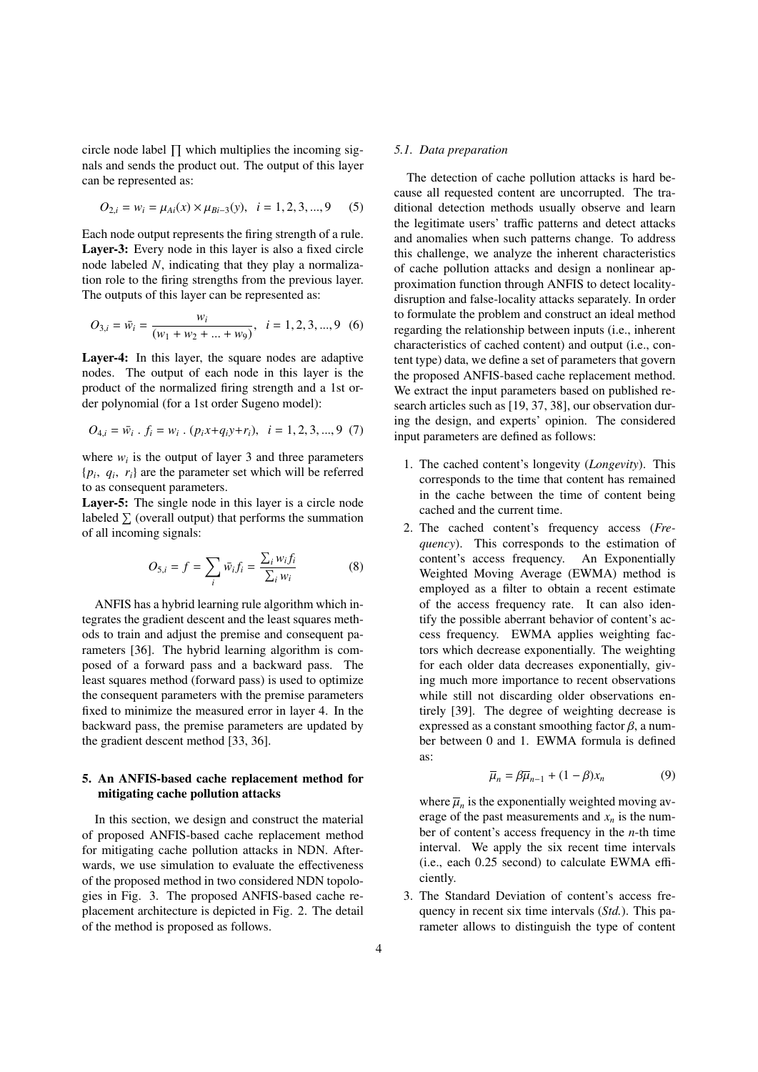circle node label  $\Pi$  which multiplies the incoming signals and sends the product out. The output of this layer can be represented as:

$$
O_{2,i} = w_i = \mu_{Ai}(x) \times \mu_{Bi-3}(y), \quad i = 1, 2, 3, ..., 9 \tag{5}
$$

Each node output represents the firing strength of a rule. Layer-3: Every node in this layer is also a fixed circle node labeled *N*, indicating that they play a normalization role to the firing strengths from the previous layer. The outputs of this layer can be represented as:

$$
O_{3,i} = \bar{w}_i = \frac{w_i}{(w_1 + w_2 + \dots + w_9)}, \quad i = 1, 2, 3, \dots, 9 \quad (6)
$$

Layer-4: In this layer, the square nodes are adaptive nodes. The output of each node in this layer is the product of the normalized firing strength and a 1st order polynomial (for a 1st order Sugeno model):

$$
O_{4,i} = \bar{w_i} \cdot f_i = w_i \cdot (p_i x + q_i y + r_i), \quad i = 1, 2, 3, ..., 9 \tag{7}
$$

where  $w_i$  is the output of layer 3 and three parameters  ${p_i, q_i, r_i}$  are the parameter set which will be referred<br>to as consequent parameters to as consequent parameters.

Layer-5: The single node in this layer is a circle node labeled  $\Sigma$  (overall output) that performs the summation of all incoming signals:

$$
O_{5,i} = f = \sum_{i} \bar{w}_{i} f_{i} = \frac{\sum_{i} w_{i} f_{i}}{\sum_{i} w_{i}}
$$
(8)

ANFIS has a hybrid learning rule algorithm which integrates the gradient descent and the least squares methods to train and adjust the premise and consequent parameters [36]. The hybrid learning algorithm is composed of a forward pass and a backward pass. The least squares method (forward pass) is used to optimize the consequent parameters with the premise parameters fixed to minimize the measured error in layer 4. In the backward pass, the premise parameters are updated by the gradient descent method [33, 36].

# 5. An ANFIS-based cache replacement method for mitigating cache pollution attacks

In this section, we design and construct the material of proposed ANFIS-based cache replacement method for mitigating cache pollution attacks in NDN. Afterwards, we use simulation to evaluate the effectiveness of the proposed method in two considered NDN topologies in Fig. 3. The proposed ANFIS-based cache replacement architecture is depicted in Fig. 2. The detail of the method is proposed as follows.

## *5.1. Data preparation*

The detection of cache pollution attacks is hard because all requested content are uncorrupted. The traditional detection methods usually observe and learn the legitimate users' traffic patterns and detect attacks and anomalies when such patterns change. To address this challenge, we analyze the inherent characteristics of cache pollution attacks and design a nonlinear approximation function through ANFIS to detect localitydisruption and false-locality attacks separately. In order to formulate the problem and construct an ideal method regarding the relationship between inputs (i.e., inherent characteristics of cached content) and output (i.e., content type) data, we define a set of parameters that govern the proposed ANFIS-based cache replacement method. We extract the input parameters based on published research articles such as [19, 37, 38], our observation during the design, and experts' opinion. The considered input parameters are defined as follows:

- 1. The cached content's longevity (*Longevity*). This corresponds to the time that content has remained in the cache between the time of content being cached and the current time.
- 2. The cached content's frequency access (*Frequency*). This corresponds to the estimation of content's access frequency. An Exponentially Weighted Moving Average (EWMA) method is employed as a filter to obtain a recent estimate of the access frequency rate. It can also identify the possible aberrant behavior of content's access frequency. EWMA applies weighting factors which decrease exponentially. The weighting for each older data decreases exponentially, giving much more importance to recent observations while still not discarding older observations entirely [39]. The degree of weighting decrease is expressed as a constant smoothing factor  $\beta$ , a number between 0 and 1. EWMA formula is defined as:

$$
\overline{\mu}_n = \beta \overline{\mu}_{n-1} + (1 - \beta) x_n \tag{9}
$$

where  $\overline{\mu}_n$  is the exponentially weighted moving av-<br>erage of the past measurements and x is the numerage of the past measurements and  $x_n$  is the number of content's access frequency in the *n*-th time interval. We apply the six recent time intervals (i.e., each 0.25 second) to calculate EWMA efficiently.

3. The Standard Deviation of content's access frequency in recent six time intervals (*Std.*). This parameter allows to distinguish the type of content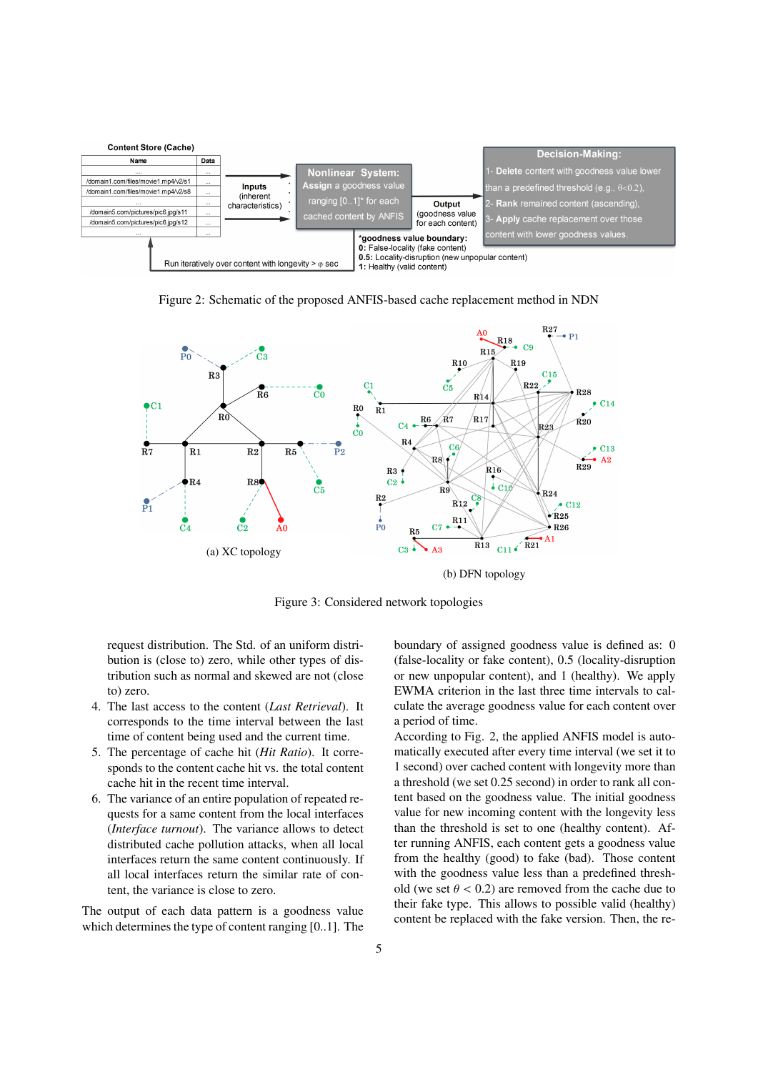

Figure 2: Schematic of the proposed ANFIS-based cache replacement method in NDN



Figure 3: Considered network topologies

request distribution. The Std. of an uniform distribution is (close to) zero, while other types of distribution such as normal and skewed are not (close to) zero.

- 4. The last access to the content (*Last Retrieval*). It corresponds to the time interval between the last time of content being used and the current time.
- 5. The percentage of cache hit (*Hit Ratio*). It corresponds to the content cache hit vs. the total content cache hit in the recent time interval.
- 6. The variance of an entire population of repeated requests for a same content from the local interfaces (*Interface turnout*). The variance allows to detect distributed cache pollution attacks, when all local interfaces return the same content continuously. If all local interfaces return the similar rate of content, the variance is close to zero.

The output of each data pattern is a goodness value which determines the type of content ranging [0..1]. The

boundary of assigned goodness value is defined as: 0 (false-locality or fake content), 0.5 (locality-disruption or new unpopular content), and 1 (healthy). We apply EWMA criterion in the last three time intervals to calculate the average goodness value for each content over a period of time.

According to Fig. 2, the applied ANFIS model is automatically executed after every time interval (we set it to 1 second) over cached content with longevity more than a threshold (we set 0.25 second) in order to rank all content based on the goodness value. The initial goodness value for new incoming content with the longevity less than the threshold is set to one (healthy content). After running ANFIS, each content gets a goodness value from the healthy (good) to fake (bad). Those content with the goodness value less than a predefined threshold (we set  $\theta$  < 0.2) are removed from the cache due to their fake type. This allows to possible valid (healthy) content be replaced with the fake version. Then, the re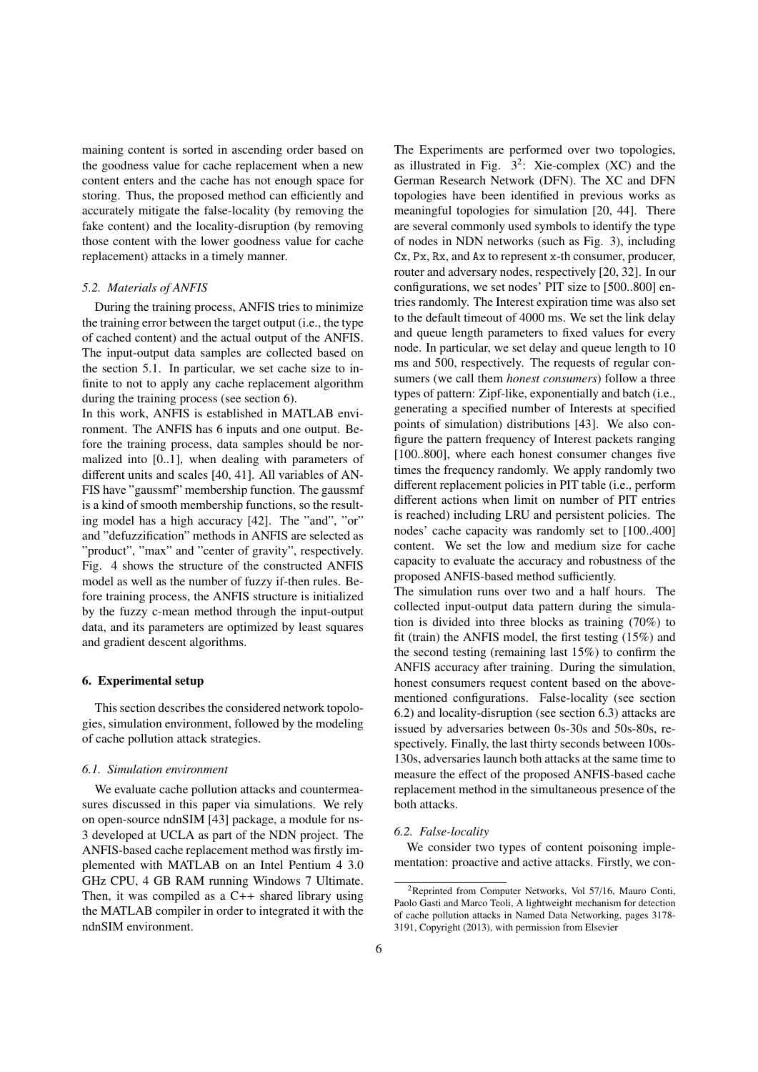maining content is sorted in ascending order based on the goodness value for cache replacement when a new content enters and the cache has not enough space for storing. Thus, the proposed method can efficiently and accurately mitigate the false-locality (by removing the fake content) and the locality-disruption (by removing those content with the lower goodness value for cache replacement) attacks in a timely manner.

#### *5.2. Materials of ANFIS*

During the training process, ANFIS tries to minimize the training error between the target output (i.e., the type of cached content) and the actual output of the ANFIS. The input-output data samples are collected based on the section 5.1. In particular, we set cache size to infinite to not to apply any cache replacement algorithm during the training process (see section 6).

In this work, ANFIS is established in MATLAB environment. The ANFIS has 6 inputs and one output. Before the training process, data samples should be normalized into [0..1], when dealing with parameters of different units and scales [40, 41]. All variables of AN-FIS have "gaussmf" membership function. The gaussmf is a kind of smooth membership functions, so the resulting model has a high accuracy [42]. The "and", "or" and "defuzzification" methods in ANFIS are selected as "product", "max" and "center of gravity", respectively. Fig. 4 shows the structure of the constructed ANFIS model as well as the number of fuzzy if-then rules. Before training process, the ANFIS structure is initialized by the fuzzy c-mean method through the input-output data, and its parameters are optimized by least squares and gradient descent algorithms.

## 6. Experimental setup

This section describes the considered network topologies, simulation environment, followed by the modeling of cache pollution attack strategies.

#### *6.1. Simulation environment*

We evaluate cache pollution attacks and countermeasures discussed in this paper via simulations. We rely on open-source ndnSIM [43] package, a module for ns-3 developed at UCLA as part of the NDN project. The ANFIS-based cache replacement method was firstly implemented with MATLAB on an Intel Pentium 4 3.0 GHz CPU, 4 GB RAM running Windows 7 Ultimate. Then, it was compiled as a  $C++$  shared library using the MATLAB compiler in order to integrated it with the ndnSIM environment.

The Experiments are performed over two topologies, as illustrated in Fig.  $3^2$ : Xie-complex (XC) and the German Research Network (DFN). The XC and DFN topologies have been identified in previous works as meaningful topologies for simulation [20, 44]. There are several commonly used symbols to identify the type of nodes in NDN networks (such as Fig. 3), including Cx, Px, Rx, and Ax to represent x-th consumer, producer, router and adversary nodes, respectively [20, 32]. In our configurations, we set nodes' PIT size to [500..800] entries randomly. The Interest expiration time was also set to the default timeout of 4000 ms. We set the link delay and queue length parameters to fixed values for every node. In particular, we set delay and queue length to 10 ms and 500, respectively. The requests of regular consumers (we call them *honest consumers*) follow a three types of pattern: Zipf-like, exponentially and batch (i.e., generating a specified number of Interests at specified points of simulation) distributions [43]. We also configure the pattern frequency of Interest packets ranging [100..800], where each honest consumer changes five times the frequency randomly. We apply randomly two different replacement policies in PIT table (i.e., perform different actions when limit on number of PIT entries is reached) including LRU and persistent policies. The nodes' cache capacity was randomly set to [100..400] content. We set the low and medium size for cache capacity to evaluate the accuracy and robustness of the proposed ANFIS-based method sufficiently.

The simulation runs over two and a half hours. The collected input-output data pattern during the simulation is divided into three blocks as training (70%) to fit (train) the ANFIS model, the first testing (15%) and the second testing (remaining last 15%) to confirm the ANFIS accuracy after training. During the simulation, honest consumers request content based on the abovementioned configurations. False-locality (see section 6.2) and locality-disruption (see section 6.3) attacks are issued by adversaries between 0s-30s and 50s-80s, respectively. Finally, the last thirty seconds between 100s-130s, adversaries launch both attacks at the same time to measure the effect of the proposed ANFIS-based cache replacement method in the simultaneous presence of the both attacks.

#### *6.2. False-locality*

We consider two types of content poisoning implementation: proactive and active attacks. Firstly, we con-

<sup>2</sup>Reprinted from Computer Networks, Vol 57/16, Mauro Conti, Paolo Gasti and Marco Teoli, A lightweight mechanism for detection of cache pollution attacks in Named Data Networking, pages 3178- 3191, Copyright (2013), with permission from Elsevier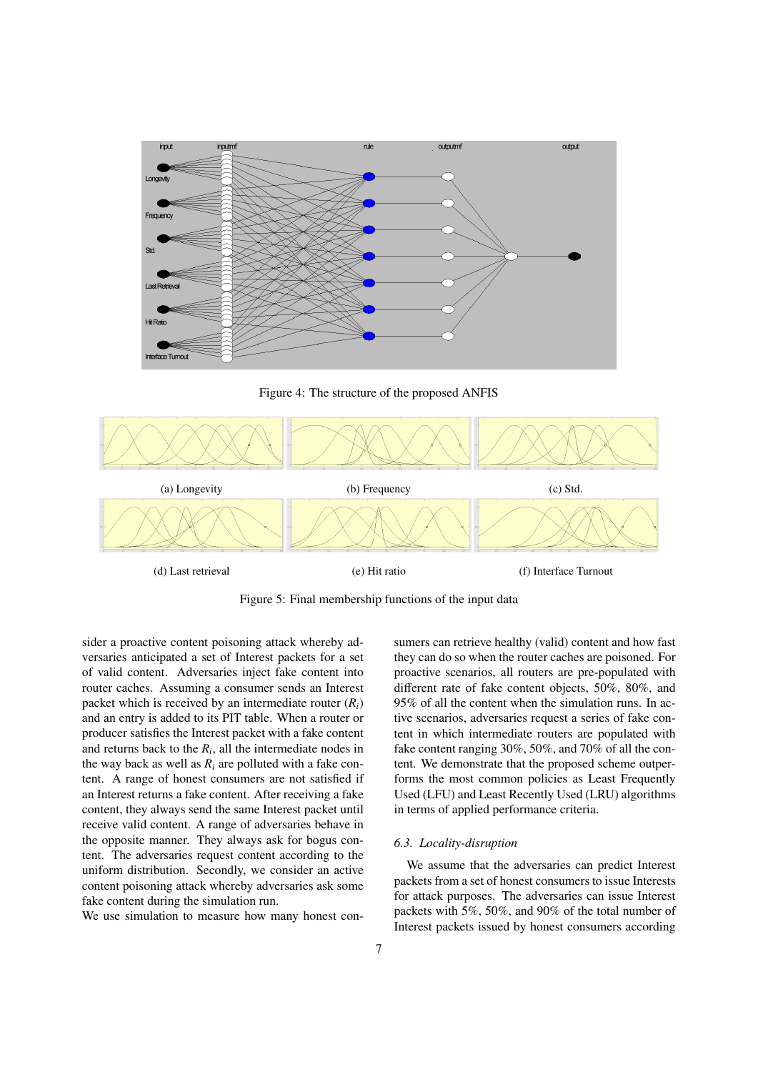

Figure 4: The structure of the proposed ANFIS



Figure 5: Final membership functions of the input data

sider a proactive content poisoning attack whereby adversaries anticipated a set of Interest packets for a set of valid content. Adversaries inject fake content into router caches. Assuming a consumer sends an Interest packet which is received by an intermediate router  $(R_i)$ and an entry is added to its PIT table. When a router or producer satisfies the Interest packet with a fake content and returns back to the  $R_i$ , all the intermediate nodes in the way back as well as  $R_i$  are polluted with a fake content. A range of honest consumers are not satisfied if an Interest returns a fake content. After receiving a fake content, they always send the same Interest packet until receive valid content. A range of adversaries behave in the opposite manner. They always ask for bogus content. The adversaries request content according to the uniform distribution. Secondly, we consider an active content poisoning attack whereby adversaries ask some fake content during the simulation run.

We use simulation to measure how many honest con-

sumers can retrieve healthy (valid) content and how fast they can do so when the router caches are poisoned. For proactive scenarios, all routers are pre-populated with different rate of fake content objects, 50%, 80%, and 95% of all the content when the simulation runs. In active scenarios, adversaries request a series of fake content in which intermediate routers are populated with fake content ranging 30%, 50%, and 70% of all the content. We demonstrate that the proposed scheme outperforms the most common policies as Least Frequently Used (LFU) and Least Recently Used (LRU) algorithms in terms of applied performance criteria.

# *6.3. Locality-disruption*

We assume that the adversaries can predict Interest packets from a set of honest consumers to issue Interests for attack purposes. The adversaries can issue Interest packets with 5%, 50%, and 90% of the total number of Interest packets issued by honest consumers according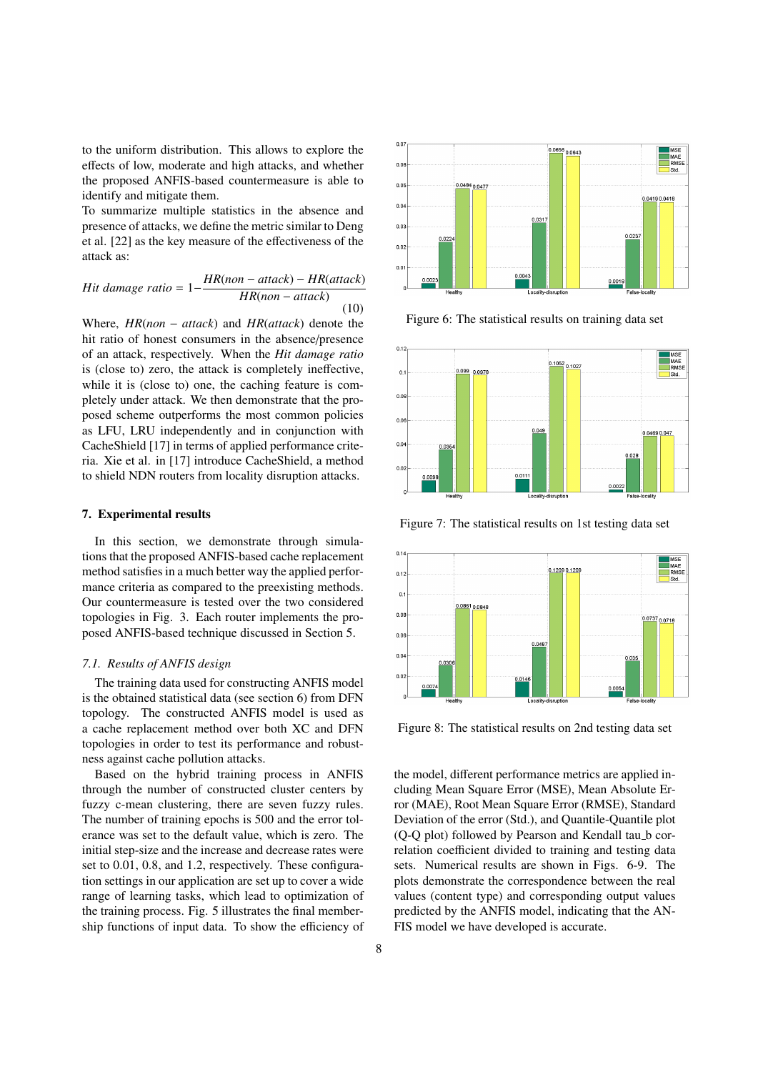to the uniform distribution. This allows to explore the effects of low, moderate and high attacks, and whether the proposed ANFIS-based countermeasure is able to identify and mitigate them.

To summarize multiple statistics in the absence and presence of attacks, we define the metric similar to Deng et al. [22] as the key measure of the effectiveness of the attack as:

$$
Hit \,\, damage \,\, ratio = 1 - \frac{HR(no - attack) - HR(attack)}{HR(no - attack)} \tag{10}
$$

Where, *HR*(*non* − *attack*) and *HR*(*attack*) denote the hit ratio of honest consumers in the absence/presence of an attack, respectively. When the *Hit damage ratio* is (close to) zero, the attack is completely ineffective, while it is (close to) one, the caching feature is completely under attack. We then demonstrate that the proposed scheme outperforms the most common policies as LFU, LRU independently and in conjunction with CacheShield [17] in terms of applied performance criteria. Xie et al. in [17] introduce CacheShield, a method to shield NDN routers from locality disruption attacks.

## 7. Experimental results

In this section, we demonstrate through simulations that the proposed ANFIS-based cache replacement method satisfies in a much better way the applied performance criteria as compared to the preexisting methods. Our countermeasure is tested over the two considered topologies in Fig. 3. Each router implements the proposed ANFIS-based technique discussed in Section 5.

## *7.1. Results of ANFIS design*

The training data used for constructing ANFIS model is the obtained statistical data (see section 6) from DFN topology. The constructed ANFIS model is used as a cache replacement method over both XC and DFN topologies in order to test its performance and robustness against cache pollution attacks.

Based on the hybrid training process in ANFIS through the number of constructed cluster centers by fuzzy c-mean clustering, there are seven fuzzy rules. The number of training epochs is 500 and the error tolerance was set to the default value, which is zero. The initial step-size and the increase and decrease rates were set to 0.01, 0.8, and 1.2, respectively. These configuration settings in our application are set up to cover a wide range of learning tasks, which lead to optimization of the training process. Fig. 5 illustrates the final membership functions of input data. To show the efficiency of



Figure 6: The statistical results on training data set



Figure 7: The statistical results on 1st testing data set



Figure 8: The statistical results on 2nd testing data set

the model, different performance metrics are applied including Mean Square Error (MSE), Mean Absolute Error (MAE), Root Mean Square Error (RMSE), Standard Deviation of the error (Std.), and Quantile-Quantile plot (Q-Q plot) followed by Pearson and Kendall tau b correlation coefficient divided to training and testing data sets. Numerical results are shown in Figs. 6-9. The plots demonstrate the correspondence between the real values (content type) and corresponding output values predicted by the ANFIS model, indicating that the AN-FIS model we have developed is accurate.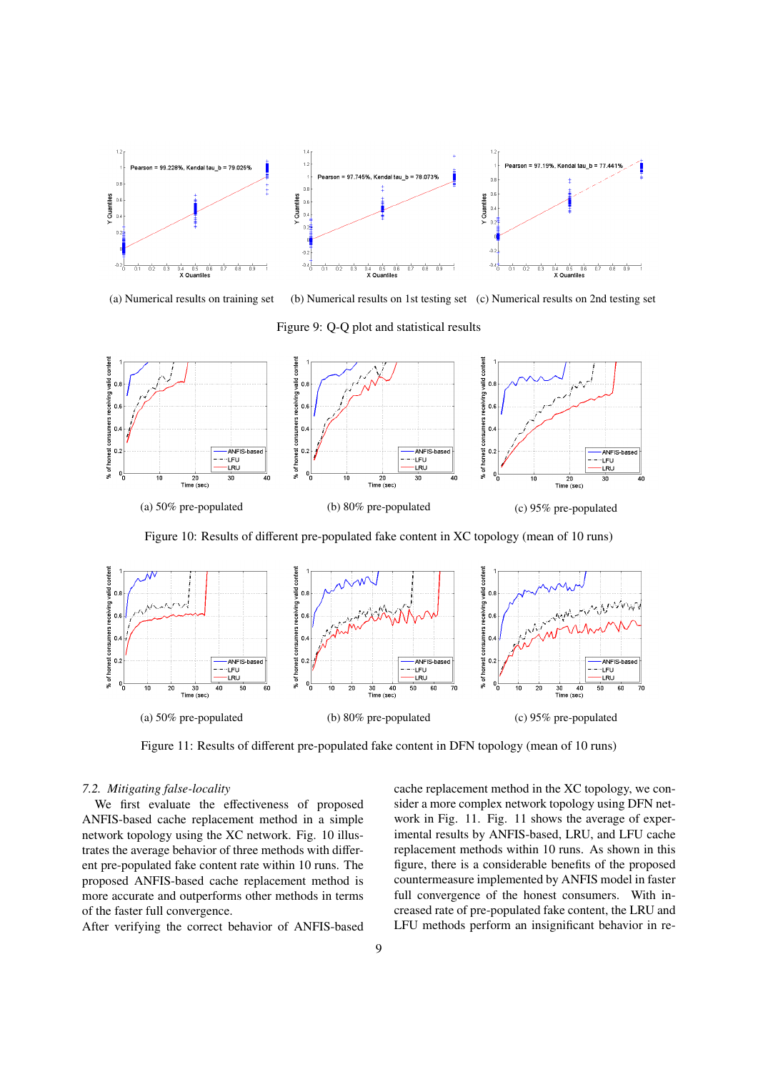

(a) Numerical results on training set (b) Numerical results on 1st testing set (c) Numerical results on 2nd testing set

Figure 9: Q-Q plot and statistical results



Figure 10: Results of different pre-populated fake content in XC topology (mean of 10 runs)



Figure 11: Results of different pre-populated fake content in DFN topology (mean of 10 runs)

## *7.2. Mitigating false-locality*

We first evaluate the effectiveness of proposed ANFIS-based cache replacement method in a simple network topology using the XC network. Fig. 10 illustrates the average behavior of three methods with different pre-populated fake content rate within 10 runs. The proposed ANFIS-based cache replacement method is more accurate and outperforms other methods in terms of the faster full convergence.

After verifying the correct behavior of ANFIS-based

cache replacement method in the XC topology, we consider a more complex network topology using DFN network in Fig. 11. Fig. 11 shows the average of experimental results by ANFIS-based, LRU, and LFU cache replacement methods within 10 runs. As shown in this figure, there is a considerable benefits of the proposed countermeasure implemented by ANFIS model in faster full convergence of the honest consumers. With increased rate of pre-populated fake content, the LRU and LFU methods perform an insignificant behavior in re-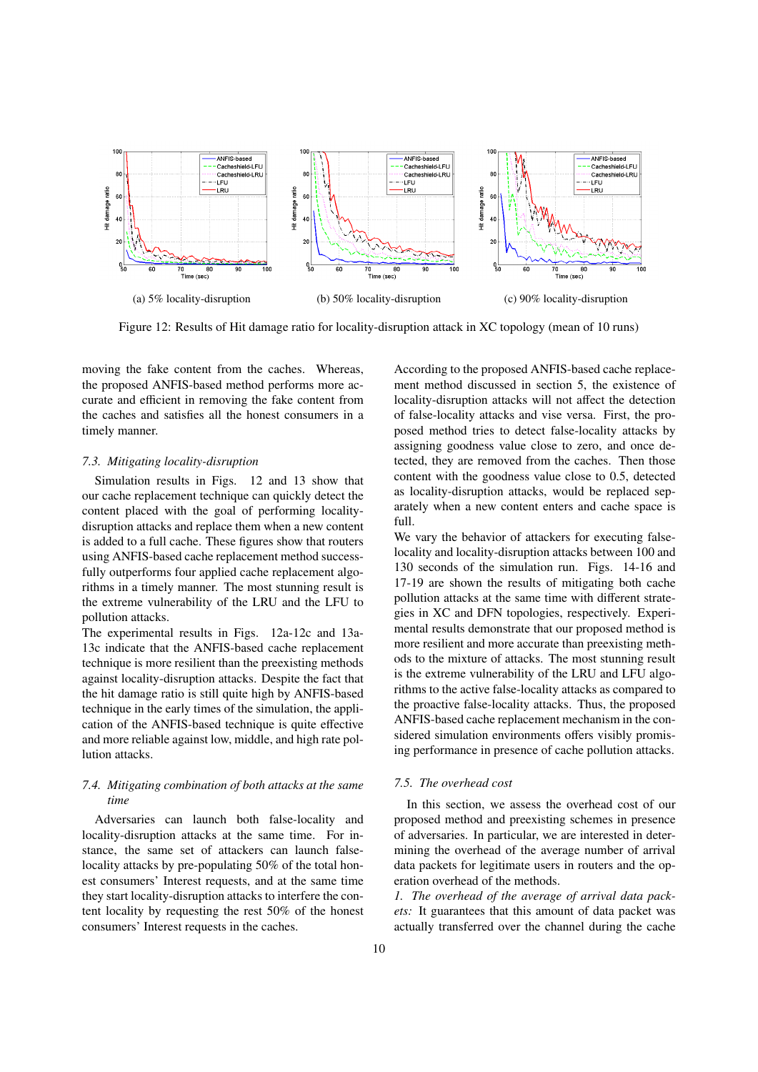

Figure 12: Results of Hit damage ratio for locality-disruption attack in XC topology (mean of 10 runs)

moving the fake content from the caches. Whereas, the proposed ANFIS-based method performs more accurate and efficient in removing the fake content from the caches and satisfies all the honest consumers in a timely manner.

## *7.3. Mitigating locality-disruption*

Simulation results in Figs. 12 and 13 show that our cache replacement technique can quickly detect the content placed with the goal of performing localitydisruption attacks and replace them when a new content is added to a full cache. These figures show that routers using ANFIS-based cache replacement method successfully outperforms four applied cache replacement algorithms in a timely manner. The most stunning result is the extreme vulnerability of the LRU and the LFU to pollution attacks.

The experimental results in Figs. 12a-12c and 13a-13c indicate that the ANFIS-based cache replacement technique is more resilient than the preexisting methods against locality-disruption attacks. Despite the fact that the hit damage ratio is still quite high by ANFIS-based technique in the early times of the simulation, the application of the ANFIS-based technique is quite effective and more reliable against low, middle, and high rate pollution attacks.

# *7.4. Mitigating combination of both attacks at the same time*

Adversaries can launch both false-locality and locality-disruption attacks at the same time. For instance, the same set of attackers can launch falselocality attacks by pre-populating 50% of the total honest consumers' Interest requests, and at the same time they start locality-disruption attacks to interfere the content locality by requesting the rest 50% of the honest consumers' Interest requests in the caches.

According to the proposed ANFIS-based cache replacement method discussed in section 5, the existence of locality-disruption attacks will not affect the detection of false-locality attacks and vise versa. First, the proposed method tries to detect false-locality attacks by assigning goodness value close to zero, and once detected, they are removed from the caches. Then those content with the goodness value close to 0.5, detected as locality-disruption attacks, would be replaced separately when a new content enters and cache space is full.

We vary the behavior of attackers for executing falselocality and locality-disruption attacks between 100 and 130 seconds of the simulation run. Figs. 14-16 and 17-19 are shown the results of mitigating both cache pollution attacks at the same time with different strategies in XC and DFN topologies, respectively. Experimental results demonstrate that our proposed method is more resilient and more accurate than preexisting methods to the mixture of attacks. The most stunning result is the extreme vulnerability of the LRU and LFU algorithms to the active false-locality attacks as compared to the proactive false-locality attacks. Thus, the proposed ANFIS-based cache replacement mechanism in the considered simulation environments offers visibly promising performance in presence of cache pollution attacks.

#### *7.5. The overhead cost*

In this section, we assess the overhead cost of our proposed method and preexisting schemes in presence of adversaries. In particular, we are interested in determining the overhead of the average number of arrival data packets for legitimate users in routers and the operation overhead of the methods.

*1. The overhead of the average of arrival data packets:* It guarantees that this amount of data packet was actually transferred over the channel during the cache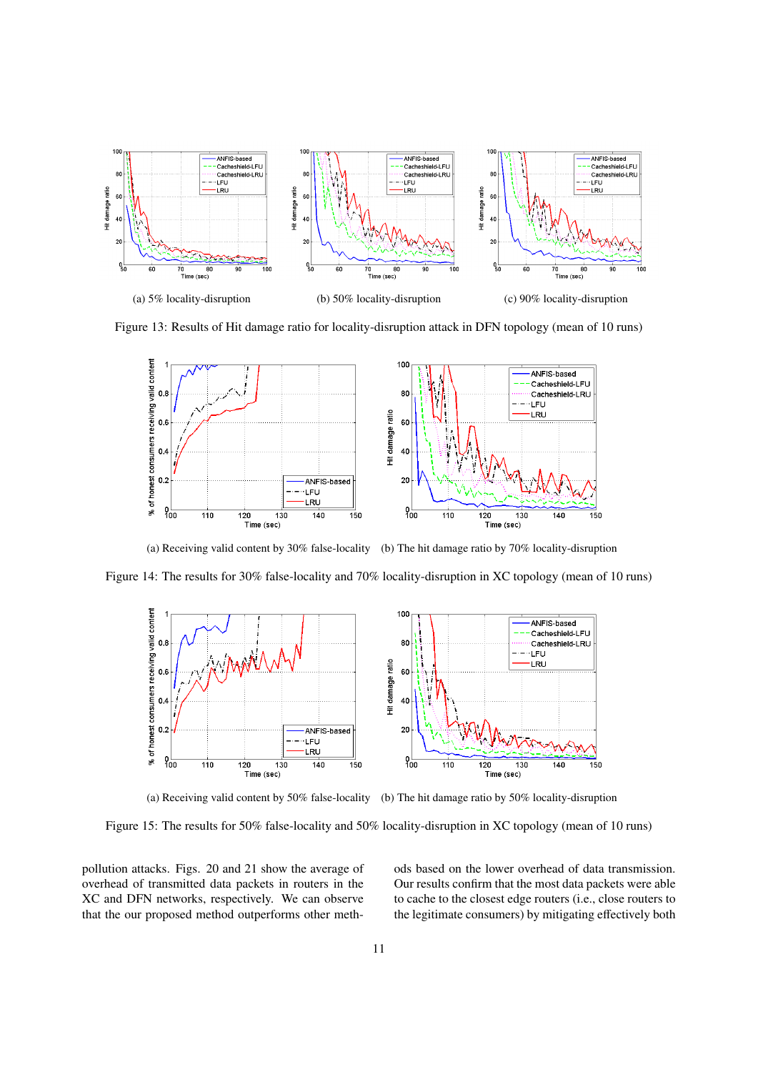

Figure 13: Results of Hit damage ratio for locality-disruption attack in DFN topology (mean of 10 runs)



(a) Receiving valid content by 30% false-locality (b) The hit damage ratio by 70% locality-disruption

Figure 14: The results for 30% false-locality and 70% locality-disruption in XC topology (mean of 10 runs)



(a) Receiving valid content by 50% false-locality (b) The hit damage ratio by 50% locality-disruption

Figure 15: The results for 50% false-locality and 50% locality-disruption in XC topology (mean of 10 runs)

pollution attacks. Figs. 20 and 21 show the average of overhead of transmitted data packets in routers in the XC and DFN networks, respectively. We can observe that the our proposed method outperforms other meth-

ods based on the lower overhead of data transmission. Our results confirm that the most data packets were able to cache to the closest edge routers (i.e., close routers to the legitimate consumers) by mitigating effectively both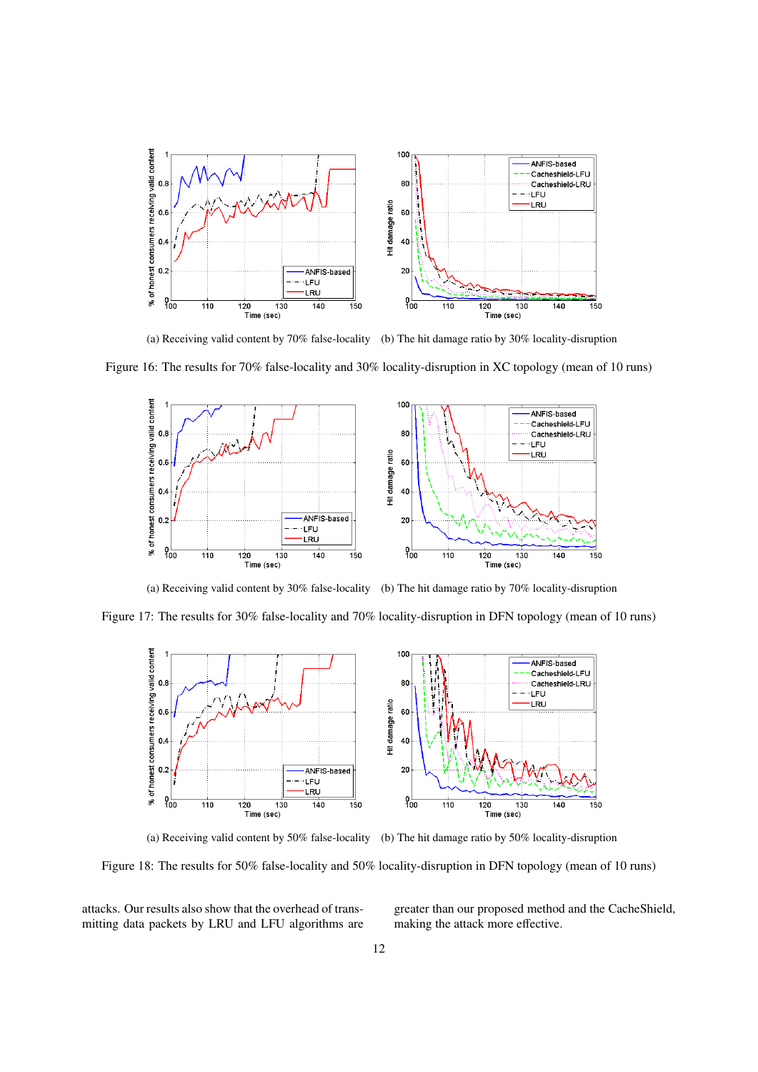

(a) Receiving valid content by 70% false-locality (b) The hit damage ratio by 30% locality-disruption

Figure 16: The results for 70% false-locality and 30% locality-disruption in XC topology (mean of 10 runs)



(a) Receiving valid content by 30% false-locality (b) The hit damage ratio by 70% locality-disruption

Figure 17: The results for 30% false-locality and 70% locality-disruption in DFN topology (mean of 10 runs)



(a) Receiving valid content by 50% false-locality (b) The hit damage ratio by 50% locality-disruption

Figure 18: The results for 50% false-locality and 50% locality-disruption in DFN topology (mean of 10 runs)

attacks. Our results also show that the overhead of transmitting data packets by LRU and LFU algorithms are greater than our proposed method and the CacheShield, making the attack more effective.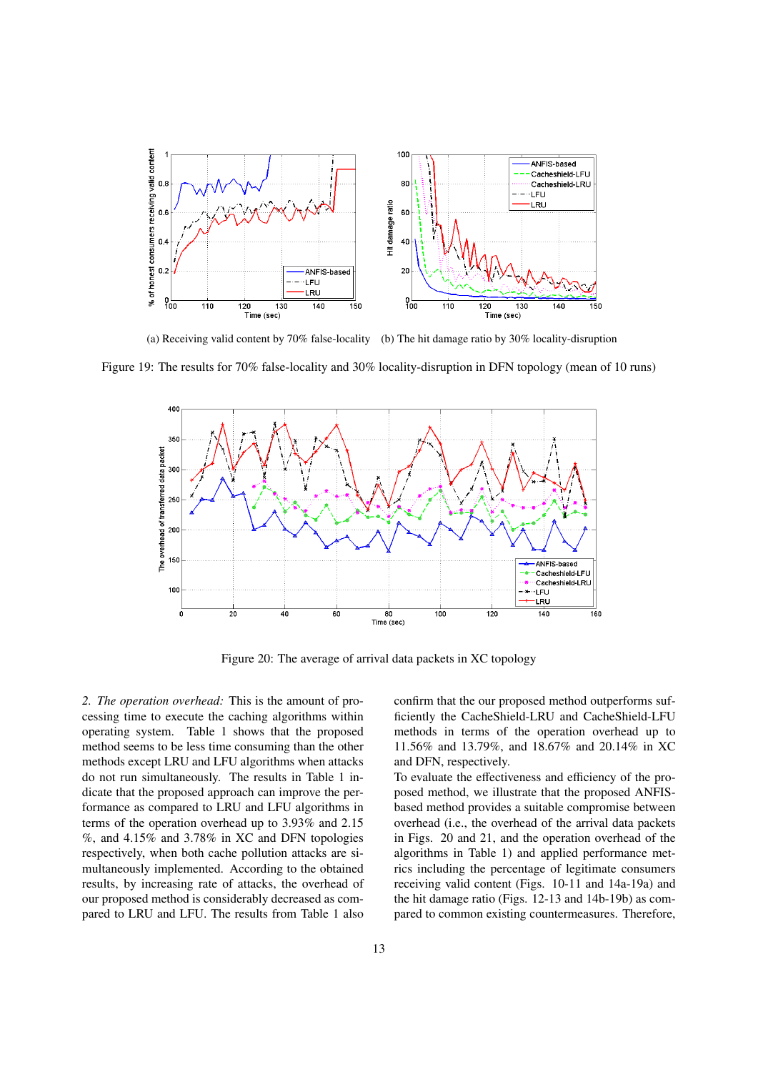

(a) Receiving valid content by 70% false-locality (b) The hit damage ratio by 30% locality-disruption

Figure 19: The results for 70% false-locality and 30% locality-disruption in DFN topology (mean of 10 runs)



Figure 20: The average of arrival data packets in XC topology

*2. The operation overhead:* This is the amount of processing time to execute the caching algorithms within operating system. Table 1 shows that the proposed method seems to be less time consuming than the other methods except LRU and LFU algorithms when attacks do not run simultaneously. The results in Table 1 indicate that the proposed approach can improve the performance as compared to LRU and LFU algorithms in terms of the operation overhead up to 3.93% and 2.15 %, and 4.15% and 3.78% in XC and DFN topologies respectively, when both cache pollution attacks are simultaneously implemented. According to the obtained results, by increasing rate of attacks, the overhead of our proposed method is considerably decreased as compared to LRU and LFU. The results from Table 1 also confirm that the our proposed method outperforms sufficiently the CacheShield-LRU and CacheShield-LFU methods in terms of the operation overhead up to 11.56% and 13.79%, and 18.67% and 20.14% in XC and DFN, respectively.

To evaluate the effectiveness and efficiency of the proposed method, we illustrate that the proposed ANFISbased method provides a suitable compromise between overhead (i.e., the overhead of the arrival data packets in Figs. 20 and 21, and the operation overhead of the algorithms in Table 1) and applied performance metrics including the percentage of legitimate consumers receiving valid content (Figs. 10-11 and 14a-19a) and the hit damage ratio (Figs. 12-13 and 14b-19b) as compared to common existing countermeasures. Therefore,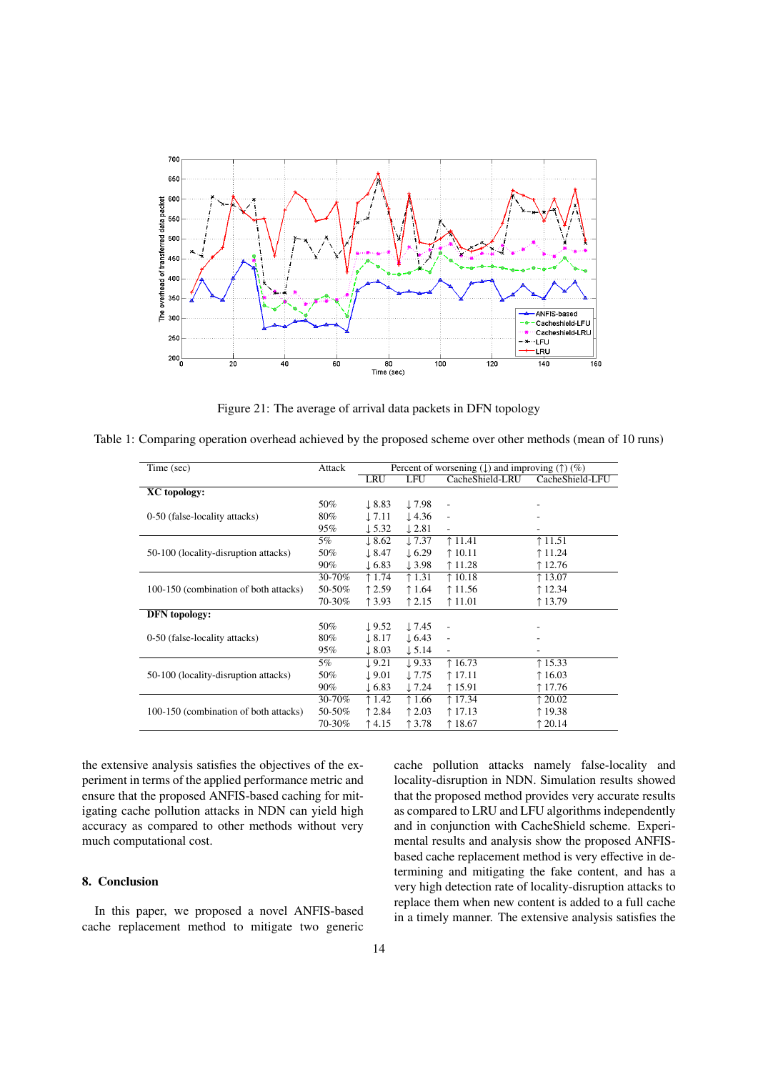

Figure 21: The average of arrival data packets in DFN topology

Table 1: Comparing operation overhead achieved by the proposed scheme over other methods (mean of 10 runs)

| Time (sec)                            | Attack | Percent of worsening ( $\downarrow$ ) and improving ( $\uparrow$ ) (%) |                   |                          |                              |
|---------------------------------------|--------|------------------------------------------------------------------------|-------------------|--------------------------|------------------------------|
|                                       |        | <b>LRU</b>                                                             | LFU               | CacheShield-LRU          | CacheShield-LFU              |
| <b>XC</b> topology:                   |        |                                                                        |                   |                          |                              |
| 0-50 (false-locality attacks)         | 50%    | $\perp$ 8.83                                                           | $\downarrow$ 7.98 | -                        |                              |
|                                       | 80%    | $\downarrow$ 7.11                                                      | $\downarrow$ 4.36 | $\overline{\phantom{a}}$ | $\qquad \qquad \blacksquare$ |
|                                       | 95%    | $\downarrow$ 5.32                                                      | $\downarrow$ 2.81 | $\overline{\phantom{0}}$ |                              |
| 50-100 (locality-disruption attacks)  | 5%     | $\downarrow$ 8.62                                                      | $\downarrow$ 7.37 | 11.41                    | 11.51                        |
|                                       | 50%    | J 8.47                                                                 | $\perp$ 6.29      | $\uparrow$ 10.11         | ↑ 11.24                      |
|                                       | 90%    | $\perp$ 6.83                                                           | $\downarrow$ 3.98 | 11.28                    | ↑12.76                       |
| 100-150 (combination of both attacks) | 30-70% | 1.74                                                                   | $\uparrow$ 1.31   | 10.18                    | ↑13.07                       |
|                                       | 50-50% | ↑2.59                                                                  | ↑ 1.64            | 11.56                    | ↑ 12.34                      |
|                                       | 70-30% | 13.93                                                                  | 12.15             | $\uparrow$ 11.01         | 1 1 3.79                     |
| <b>DFN</b> topology:                  |        |                                                                        |                   |                          |                              |
| 0-50 (false-locality attacks)         | 50%    | $\downarrow$ 9.52                                                      | $\downarrow$ 7.45 |                          |                              |
|                                       | 80%    | $\downarrow$ 8.17                                                      | $\downarrow$ 6.43 | $\overline{\phantom{0}}$ |                              |
|                                       | 95%    | $\downarrow$ 8.03                                                      | $\downarrow$ 5.14 | ٠                        |                              |
| 50-100 (locality-disruption attacks)  | 5%     | $\downarrow$ 9.21                                                      | $\downarrow$ 9.33 | 16.73                    | ↑15.33                       |
|                                       | 50%    | $\downarrow$ 9.01                                                      | $\downarrow$ 7.75 | 17.11                    | 16.03                        |
|                                       | 90%    | $\downarrow$ 6.83                                                      | $\downarrow$ 7.24 | 15.91                    | ↑ 17.76                      |
| 100-150 (combination of both attacks) | 30-70% | $\uparrow$ 1.42                                                        | $\uparrow$ 1.66   | ↑ 17.34                  | 1 20.02                      |
|                                       | 50-50% | $\uparrow$ 2.84                                                        | $\uparrow$ 2.03   | 17.13                    | ↑19.38                       |
|                                       | 70-30% | 14.15                                                                  | 13.78             | 18.67                    | \$20.14\$                    |

the extensive analysis satisfies the objectives of the experiment in terms of the applied performance metric and ensure that the proposed ANFIS-based caching for mitigating cache pollution attacks in NDN can yield high accuracy as compared to other methods without very much computational cost.

# 8. Conclusion

In this paper, we proposed a novel ANFIS-based cache replacement method to mitigate two generic cache pollution attacks namely false-locality and locality-disruption in NDN. Simulation results showed that the proposed method provides very accurate results as compared to LRU and LFU algorithms independently and in conjunction with CacheShield scheme. Experimental results and analysis show the proposed ANFISbased cache replacement method is very effective in determining and mitigating the fake content, and has a very high detection rate of locality-disruption attacks to replace them when new content is added to a full cache in a timely manner. The extensive analysis satisfies the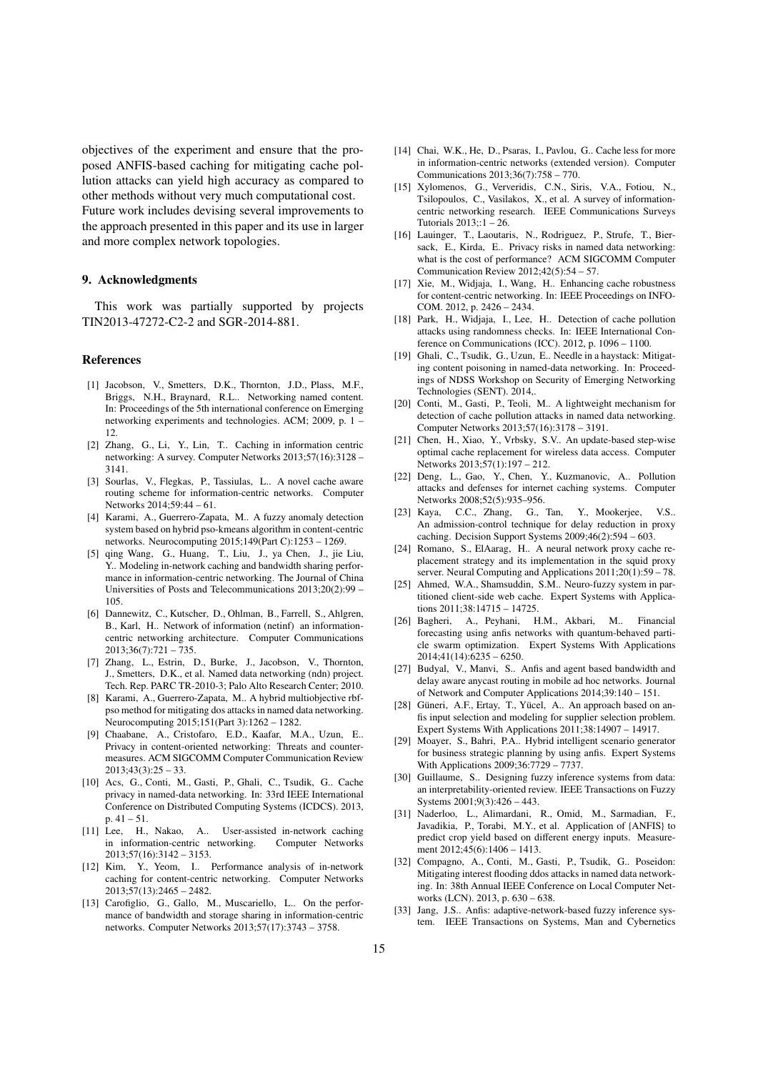objectives of the experiment and ensure that the proposed ANFIS-based caching for mitigating cache pollution attacks can yield high accuracy as compared to other methods without very much computational cost. Future work includes devising several improvements to the approach presented in this paper and its use in larger and more complex network topologies.

## 9. Acknowledgments

This work was partially supported by projects TIN2013-47272-C2-2 and SGR-2014-881.

#### References

- [1] Jacobson, V., Smetters, D.K., Thornton, J.D., Plass, M.F., Briggs, N.H., Braynard, R.L.. Networking named content. In: Proceedings of the 5th international conference on Emerging networking experiments and technologies. ACM; 2009, p. 1 – 12.
- [2] Zhang, G., Li, Y., Lin, T.. Caching in information centric networking: A survey. Computer Networks 2013;57(16):3128 – 3141.
- [3] Sourlas, V., Flegkas, P., Tassiulas, L.. A novel cache aware routing scheme for information-centric networks. Computer Networks 2014;59:44 – 61.
- [4] Karami, A., Guerrero-Zapata, M.. A fuzzy anomaly detection system based on hybrid pso-kmeans algorithm in content-centric networks. Neurocomputing 2015;149(Part C):1253 – 1269.
- [5] qing Wang, G., Huang, T., Liu, J., ya Chen, J., jie Liu, Y.. Modeling in-network caching and bandwidth sharing performance in information-centric networking. The Journal of China Universities of Posts and Telecommunications 2013;20(2):99 – 105.
- [6] Dannewitz, C., Kutscher, D., Ohlman, B., Farrell, S., Ahlgren, B., Karl, H.. Network of information (netinf) an informationcentric networking architecture. Computer Communications 2013;36(7):721 – 735.
- [7] Zhang, L., Estrin, D., Burke, J., Jacobson, V., Thornton, J., Smetters, D.K., et al. Named data networking (ndn) project. Tech. Rep. PARC TR-2010-3; Palo Alto Research Center; 2010.
- [8] Karami, A., Guerrero-Zapata, M.. A hybrid multiobjective rbfpso method for mitigating dos attacks in named data networking. Neurocomputing 2015;151(Part 3):1262 – 1282.
- [9] Chaabane, A., Cristofaro, E.D., Kaafar, M.A., Uzun, E.. Privacy in content-oriented networking: Threats and countermeasures. ACM SIGCOMM Computer Communication Review 2013;43(3):25 – 33.
- [10] Acs, G., Conti, M., Gasti, P., Ghali, C., Tsudik, G.. Cache privacy in named-data networking. In: 33rd IEEE International Conference on Distributed Computing Systems (ICDCS). 2013, p.  $41 - 51$ .
- [11] Lee, H., Nakao, A.. User-assisted in-network caching in information-centric networking. Computer Networks  $2013:57(16):3142 - 3153.$
- [12] Kim, Y., Yeom, I.. Performance analysis of in-network caching for content-centric networking. Computer Networks 2013;57(13):2465 – 2482.
- [13] Carofiglio, G., Gallo, M., Muscariello, L.. On the performance of bandwidth and storage sharing in information-centric networks. Computer Networks 2013;57(17):3743 – 3758.
- [14] Chai, W.K., He, D., Psaras, I., Pavlou, G., Cache less for more in information-centric networks (extended version). Computer Communications 2013;36(7):758 – 770.
- [15] Xylomenos, G., Ververidis, C.N., Siris, V.A., Fotiou, N., Tsilopoulos, C., Vasilakos, X., et al. A survey of informationcentric networking research. IEEE Communications Surveys Tutorials 2013;:1 – 26.
- [16] Lauinger, T., Laoutaris, N., Rodriguez, P., Strufe, T., Biersack, E., Kirda, E.. Privacy risks in named data networking: what is the cost of performance? ACM SIGCOMM Computer Communication Review 2012;42(5):54 – 57.
- [17] Xie, M., Widiaja, I., Wang, H., Enhancing cache robustness for content-centric networking. In: IEEE Proceedings on INFO-COM. 2012, p. 2426 – 2434.
- [18] Park, H., Widjaja, I., Lee, H.. Detection of cache pollution attacks using randomness checks. In: IEEE International Conference on Communications (ICC), 2012, p.  $1096 - 1100$ .
- [19] Ghali, C., Tsudik, G., Uzun, E.. Needle in a haystack: Mitigating content poisoning in named-data networking. In: Proceedings of NDSS Workshop on Security of Emerging Networking Technologies (SENT). 2014,.
- [20] Conti, M., Gasti, P., Teoli, M.. A lightweight mechanism for detection of cache pollution attacks in named data networking. Computer Networks 2013;57(16):3178 – 3191.
- [21] Chen, H., Xiao, Y., Vrbsky, S.V.. An update-based step-wise optimal cache replacement for wireless data access. Computer Networks 2013;57(1):197 – 212.
- [22] Deng, L., Gao, Y., Chen, Y., Kuzmanovic, A.. Pollution attacks and defenses for internet caching systems. Computer Networks 2008;52(5):935–956.
- [23] Kaya, C.C., Zhang, G., Tan, Y., Mookerjee, V.S.. An admission-control technique for delay reduction in proxy caching. Decision Support Systems  $2009;46(2):594 - 603$ .
- [24] Romano, S., ElAarag, H.. A neural network proxy cache replacement strategy and its implementation in the squid proxy server. Neural Computing and Applications 2011;20(1):59 – 78.
- [25] Ahmed, W.A., Shamsuddin, S.M.. Neuro-fuzzy system in partitioned client-side web cache. Expert Systems with Applications 2011;38:14715 – 14725.
- [26] Bagheri, A., Peyhani, H.M., Akbari, M.. Financial forecasting using anfis networks with quantum-behaved particle swarm optimization. Expert Systems With Applications  $2014;41(14):6235 - 6250$
- [27] Budyal, V., Manvi, S., Anfis and agent based bandwidth and delay aware anycast routing in mobile ad hoc networks. Journal of Network and Computer Applications 2014;39:140 – 151.
- [28] Güneri, A.F., Ertay, T., Yücel, A.. An approach based on anfis input selection and modeling for supplier selection problem. Expert Systems With Applications 2011;38:14907 – 14917.
- [29] Moayer, S., Bahri, P.A.. Hybrid intelligent scenario generator for business strategic planning by using anfis. Expert Systems With Applications 2009;36:7729 – 7737.
- [30] Guillaume, S.. Designing fuzzy inference systems from data: an interpretability-oriented review. IEEE Transactions on Fuzzy Systems 2001;9(3):426 – 443.
- [31] Naderloo, L., Alimardani, R., Omid, M., Sarmadian, F., Javadikia, P., Torabi, M.Y., et al. Application of {ANFIS} to predict crop yield based on different energy inputs. Measurement 2012;45(6):1406 – 1413.
- [32] Compagno, A., Conti, M., Gasti, P., Tsudik, G.. Poseidon: Mitigating interest flooding ddos attacks in named data networking. In: 38th Annual IEEE Conference on Local Computer Networks (LCN). 2013, p. 630 – 638.
- [33] Jang, J.S.. Anfis: adaptive-network-based fuzzy inference system. IEEE Transactions on Systems, Man and Cybernetics